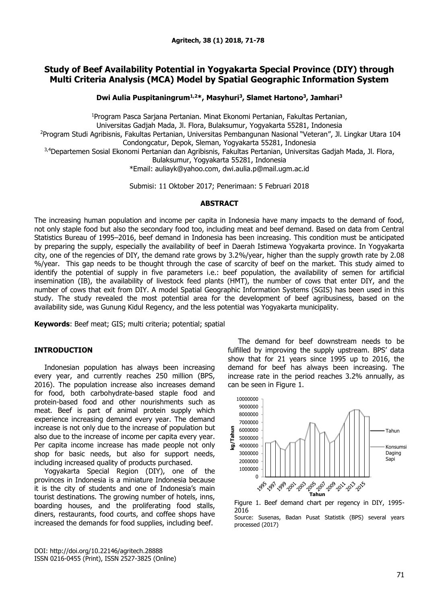# **Study of Beef Availability Potential in Yogyakarta Special Province (DIY) through Multi Criteria Analysis (MCA) Model by Spatial Geographic Information System**

**Dwi Aulia Puspitaningrum1,2\*, Masyhuri<sup>3</sup> , Slamet Hartono<sup>3</sup> , Jamhari<sup>3</sup>**

<sup>1</sup>Program Pasca Sarjana Pertanian. Minat Ekonomi Pertanian, Fakultas Pertanian,

Universitas Gadjah Mada, Jl. Flora, Bulaksumur, Yogyakarta 55281, Indonesia

<sup>2</sup>Program Studi Agribisnis, Fakultas Pertanian, Universitas Pembangunan Nasional "Veteran", Jl. Lingkar Utara 104 Condongcatur, Depok, Sleman, Yogyakarta 55281, Indonesia

3,4Departemen Sosial Ekonomi Pertanian dan Agribisnis, Fakultas Pertanian, Universitas Gadjah Mada, Jl. Flora,

Bulaksumur, Yogyakarta 55281, Indonesia

\*Email: [auliayk@yahoo.com,](mailto:auliayk@yahoo.com) [dwi.aulia.p@mail.ugm.ac.id](mailto:dwi.aulia.p@mail.ugm.ac.id) 

Submisi: 11 Oktober 2017; Penerimaan: 5 Februari 2018

# **ABSTRACT**

The increasing human population and income per capita in Indonesia have many impacts to the demand of food, not only staple food but also the secondary food too, including meat and beef demand. Based on data from Central Statistics Bureau of 1995–2016, beef demand in Indonesia has been increasing. This condition must be anticipated by preparing the supply, especially the availability of beef in Daerah Istimewa Yogyakarta province. In Yogyakarta city, one of the regencies of DIY, the demand rate grows by 3.2%/year, higher than the supply growth rate by 2.08 %/year. This gap needs to be thought through the case of scarcity of beef on the market. This study aimed to identify the potential of supply in five parameters i.e.: beef population, the availability of semen for artificial insemination (IB), the availability of livestock feed plants (HMT), the number of cows that enter DIY, and the number of cows that exit from DIY. A model Spatial Geographic Information Systems (SGIS) has been used in this study. The study revealed the most potential area for the development of beef agribusiness, based on the availability side, was Gunung Kidul Regency, and the less potential was Yogyakarta municipality.

**Keywords**: Beef meat; GIS; multi criteria; potential; spatial

# **INTRODUCTION**

Indonesian population has always been increasing every year, and currently reaches 250 million (BPS, 2016). The population increase also increases demand for food, both carbohydrate-based staple food and protein-based food and other nourishments such as meat. Beef is part of animal protein supply which experience increasing demand every year. The demand increase is not only due to the increase of population but also due to the increase of income per capita every year. Per capita income increase has made people not only shop for basic needs, but also for support needs, including increased quality of products purchased.

Yogyakarta Special Region (DIY), one of the provinces in Indonesia is a miniature Indonesia because it is the city of students and one of Indonesia's main tourist destinations. The growing number of hotels, inns, boarding houses, and the proliferating food stalls, diners, restaurants, food courts, and coffee shops have increased the demands for food supplies, including beef.

DOI: http://doi.org/10.22146/agritech.28888 ISSN 0216-0455 (Print), ISSN 2527-3825 (Online)

The demand for beef downstream needs to be fulfilled by improving the supply upstream. BPS' data show that for 21 years since 1995 up to 2016, the demand for beef has always been increasing. The increase rate in the period reaches 3.2% annually, as can be seen in Figure 1.



Figure 1. Beef demand chart per regency in DIY, 1995- 2016

Source: Susenas, Badan Pusat Statistik (BPS) several years processed (2017)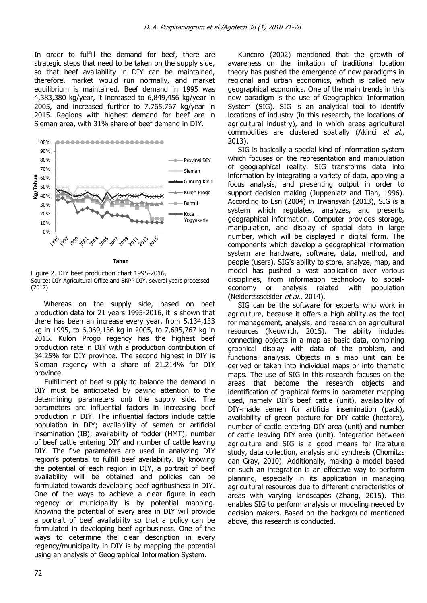In order to fulfill the demand for beef, there are strategic steps that need to be taken on the supply side, so that beef availability in DIY can be maintained, therefore, market would run normally, and market equilibrium is maintained. Beef demand in 1995 was 4,383,380 kg/year, it increased to 6,849,456 kg/year in 2005, and increased further to 7,765,767 kg/year in 2015. Regions with highest demand for beef are in Sleman area, with 31% share of beef demand in DIY.



**Tahun**

Figure 2. DIY beef production chart 1995-2016, Source: DIY Agricultural Office and BKPP DIY, several years processed (2017)

Whereas on the supply side, based on beef production data for 21 years 1995-2016, it is shown that there has been an increase every year, from 5,134,133 kg in 1995, to 6,069,136 kg in 2005, to 7,695,767 kg in 2015. Kulon Progo regency has the highest beef production rate in DIY with a production contribution of 34.25% for DIY province. The second highest in DIY is Sleman regency with a share of 21.214% for DIY province.

Fulfillment of beef supply to balance the demand in DIY must be anticipated by paying attention to the determining parameters onb the supply side. The parameters are influential factors in increasing beef production in DIY. The influential factors include cattle population in DIY; availability of semen or artificial insemination (IB); availability of fodder (HMT); number of beef cattle entering DIY and number of cattle leaving DIY. The five parameters are used in analyzing DIY region's potential to fulfill beef availability. By knowing the potential of each region in DIY, a portrait of beef availability will be obtained and policies can be formulated towards developing beef agribusiness in DIY. One of the ways to achieve a clear figure in each regency or municipality is by potential mapping. Knowing the potential of every area in DIY will provide a portrait of beef availability so that a policy can be formulated in developing beef agribusiness. One of the ways to determine the clear description in every regency/municipality in DIY is by mapping the potential using an analysis of Geographical Information System.

Kuncoro (2002) mentioned that the growth of awareness on the limitation of traditional location theory has pushed the emergence of new paradigms in regional and urban economics, which is called new geographical economics. One of the main trends in this new paradigm is the use of Geographical Information System (SIG). SIG is an analytical tool to identify locations of industry (in this research, the locations of agricultural industry), and in which areas agricultural commodities are clustered spatially (Akinci et al., 2013).

SIG is basically a special kind of information system which focuses on the representation and manipulation of geographical reality. SIG transforms data into information by integrating a variety of data, applying a focus analysis, and presenting output in order to support decision making (Juppenlatz and Tian, 1996). According to Esri (2004) in Irwansyah (2013), SIG is a system which regulates, analyzes, and presents geographical information. Computer provides storage, manipulation, and display of spatial data in large number, which will be displayed in digital form. The components which develop a geographical information system are hardware, software, data, method, and people (users). SIG's ability to store, analyze, map, and model has pushed a vast application over various disciplines, from information technology to socialeconomy or analysis related with population (Neidertsssceider et al., 2014).

SIG can be the software for experts who work in agriculture, because it offers a high ability as the tool for management, analysis, and research on agricultural resources (Neuwirth, 2015). The ability includes connecting objects in a map as basic data, combining graphical display with data of the problem, and functional analysis. Objects in a map unit can be derived or taken into individual maps or into thematic maps. The use of SIG in this research focuses on the areas that become the research objects and identification of graphical forms in parameter mapping used, namely DIY's beef cattle (unit), availability of DIY-made semen for artificial insemination (pack), availability of green pasture for DIY cattle (hectare), number of cattle entering DIY area (unit) and number of cattle leaving DIY area (unit). Integration between agriculture and SIG is a good means for literature study, data collection, analysis and synthesis (Chomitzs dan Gray, 2010). Additionally, making a model based on such an integration is an effective way to perform planning, especially in its application in managing agricultural resources due to different characteristics of areas with varying landscapes (Zhang, 2015). This enables SIG to perform analysis or modeling needed by decision makers. Based on the background mentioned above, this research is conducted.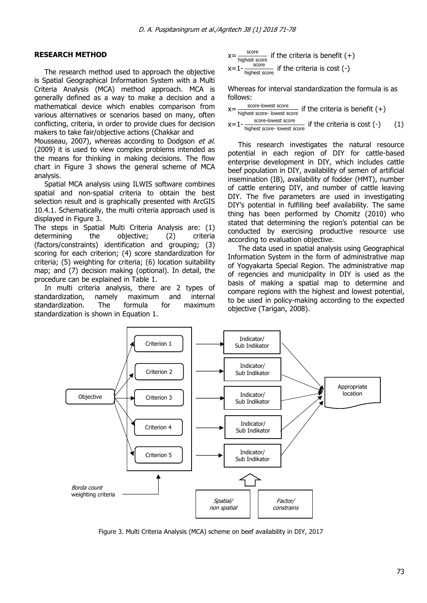### **RESEARCH METHOD**

The research method used to approach the objective is Spatial Geographical Information System with a Multi Criteria Analysis (MCA) method approach. MCA is generally defined as a way to make a decision and a mathematical device which enables comparison from various alternatives or scenarios based on many, often conflicting, criteria, in order to provide clues for decision makers to take fair/objective actions (Chakkar and

Mousseau, 2007), whereas according to Dodgson et al. (2009) it is used to view complex problems intended as the means for thinking in making decisions. The flow chart in Figure 3 shows the general scheme of MCA analysis.

Spatial MCA analysis using ILWIS software combines spatial and non-spatial criteria to obtain the best selection result and is graphically presented with ArcGIS 10.4.1. Schematically, the multi criteria approach used is displayed in Figure 3.

The steps in Spatial Multi Criteria Analysis are: (1) determining the objective; (2) criteria (factors/constraints) identification and grouping; (3) scoring for each criterion; (4) score standardization for criteria; (5) weighting for criteria; (6) location suitability map; and (7) decision making (optional). In detail, the procedure can be explained in Table 1.

In multi criteria analysis, there are 2 types of standardization, namely maximum and internal standardization. The formula for maximum standardization is shown in Equation 1.

x=  $\frac{\text{score}}{\text{highest score}}$  if the criteria is benefit (+) score

 $x=1-\frac{1}{\text{highest score}}$  if the criteria is cost (-)

Whereas for interval standardization the formula is as follows:

- $x=$ score-lowest score  $\frac{\text{score}-\text{lowest score}}{\text{highest score}-\text{lowest score}}$  if the criteria is benefit (+)
- $x=1$ score-lowest score if the criteria is cost (-) (1)

This research investigates the natural resource potential in each region of DIY for cattle-based enterprise development in DIY, which includes cattle beef population in DIY, availability of semen of artificial insemination (IB), availability of fodder (HMT), number of cattle entering DIY, and number of cattle leaving DIY. The five parameters are used in investigating DIY's potential in fulfilling beef availability. The same thing has been performed by Chomitz (2010) who stated that determining the region's potential can be conducted by exercising productive resource use according to evaluation objective.

The data used in spatial analysis using Geographical Information System in the form of administrative map of Yogyakarta Special Region. The administrative map of regencies and municipality in DIY is used as the basis of making a spatial map to determine and compare regions with the highest and lowest potential, to be used in policy-making according to the expected objective (Tarigan, 2008).



Figure 3. Multi Criteria Analysis (MCA) scheme on beef availability in DIY, 2017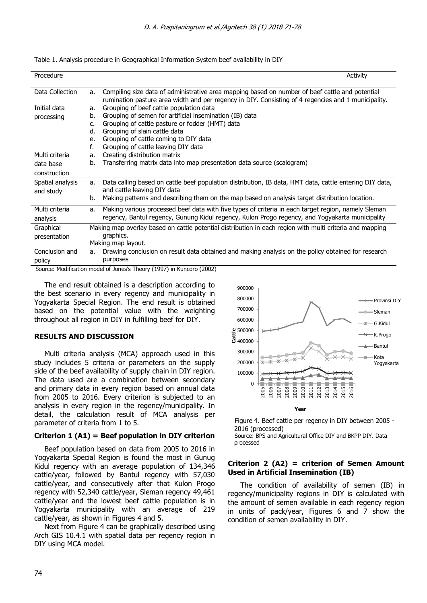| Procedure                     |    | Activity                                                                                                                                                                                               |
|-------------------------------|----|--------------------------------------------------------------------------------------------------------------------------------------------------------------------------------------------------------|
|                               |    |                                                                                                                                                                                                        |
| Data Collection               | a. | Compiling size data of administrative area mapping based on number of beef cattle and potential<br>rumination pasture area width and per regency in DIY. Consisting of 4 regencies and 1 municipality. |
| Initial data                  | a. | Grouping of beef cattle population data                                                                                                                                                                |
| processing                    | b. | Grouping of semen for artificial insemination (IB) data                                                                                                                                                |
|                               | c. | Grouping of cattle pasture or fodder (HMT) data                                                                                                                                                        |
|                               | d. | Grouping of slain cattle data                                                                                                                                                                          |
|                               | e. | Grouping of cattle coming to DIY data                                                                                                                                                                  |
|                               | f. | Grouping of cattle leaving DIY data                                                                                                                                                                    |
| Multi criteria                | a. | Creating distribution matrix                                                                                                                                                                           |
| data base                     | b. | Transferring matrix data into map presentation data source (scalogram)                                                                                                                                 |
| construction                  |    |                                                                                                                                                                                                        |
| Spatial analysis              | a. | Data calling based on cattle beef population distribution, IB data, HMT data, cattle entering DIY data,                                                                                                |
| and study                     |    | and cattle leaving DIY data                                                                                                                                                                            |
|                               | b. | Making patterns and describing them on the map based on analysis target distribution location.                                                                                                         |
| Multi criteria                | a. | Making various processed beef data with five types of criteria in each target region, namely Sleman                                                                                                    |
| analysis                      |    | regency, Bantul regency, Gunung Kidul regency, Kulon Progo regency, and Yogyakarta municipality                                                                                                        |
| Graphical                     |    | Making map overlay based on cattle potential distribution in each region with multi criteria and mapping                                                                                               |
| presentation                  |    | graphics.                                                                                                                                                                                              |
|                               |    | Making map layout.                                                                                                                                                                                     |
| Conclusion and                | a. | Drawing conclusion on result data obtained and making analysis on the policy obtained for research                                                                                                     |
| policy                        |    | purposes                                                                                                                                                                                               |
| $\mathbf{a}$ and $\mathbf{a}$ |    | $(100 - 1)$<br>$\sim$ $-1$<br>(0.000)                                                                                                                                                                  |

Table 1. Analysis procedure in Geographical Information System beef availability in DIY

Source: Modification model of Jones's Theory (1997) in Kuncoro (2002)

The end result obtained is a description according to the best scenario in every regency and municipality in Yogyakarta Special Region. The end result is obtained based on the potential value with the weighting throughout all region in DIY in fulfilling beef for DIY.

### **RESULTS AND DISCUSSION**

Multi criteria analysis (MCA) approach used in this study includes 5 criteria or parameters on the supply side of the beef availability of supply chain in DIY region. The data used are a combination between secondary and primary data in every region based on annual data from 2005 to 2016. Every criterion is subjected to an analysis in every region in the regency/municipality. In detail, the calculation result of MCA analysis per parameter of criteria from 1 to 5.

### **Criterion 1 (A1) = Beef population in DIY criterion**

Beef population based on data from 2005 to 2016 in Yogyakarta Special Region is found the most in Gunug Kidul regency with an average population of 134,346 cattle/year, followed by Bantul regency with 57,030 cattle/year, and consecutively after that Kulon Progo regency with 52,340 cattle/year, Sleman regency 49,461 cattle/year and the lowest beef cattle population is in Yogyakarta municipality with an average of 219 cattle/year, as shown in Figures 4 and 5.

Next from Figure 4 can be graphically described using Arch GIS 10.4.1 with spatial data per regency region in DIY using MCA model.



Figure 4. Beef cattle per regency in DIY between 2005 - 2016 (processed) Source: BPS and Agricultural Office DIY and BKPP DIY. Data processed

### **Criterion 2 (A2) = criterion of Semen Amount Used in Artificial Insemination (IB)**

 The condition of availability of semen (IB) in regency/municipality regions in DIY is calculated with the amount of semen available in each regency region in units of pack/year, Figures 6 and 7 show the condition of semen availability in DIY.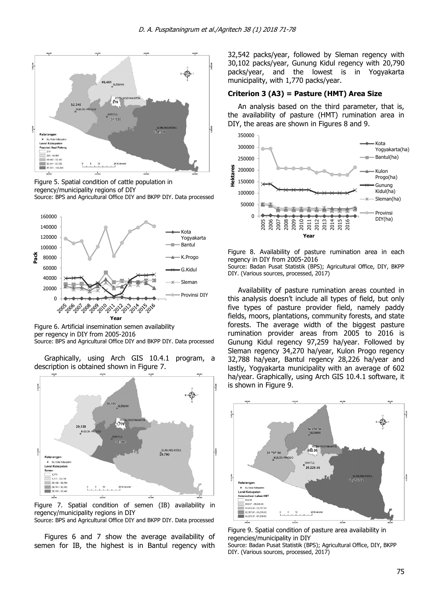

Figure 5. Spatial condition of cattle population in regency/municipality regions of DIY Source: BPS and Agricultural Office DIY and BKPP DIY. Data processed



Figure 6. Artificial insemination semen availability per regency in DIY from 2005-2016 Source: BPS and Agricultural Office DIY and BKPP DIY. Data processed

Graphically, using Arch GIS 10.4.1 program, a description is obtained shown in Figure 7.



Figure 7. Spatial condition of semen (IB) availability in regency/municipality regions in DIY Source: BPS and Agricultural Office DIY and BKPP DIY. Data processed

Figures 6 and 7 show the average availability of semen for IB, the highest is in Bantul regency with 32,542 packs/year, followed by Sleman regency with 30,102 packs/year, Gunung Kidul regency with 20,790 packs/year, and the lowest is in Yogyakarta municipality, with 1,770 packs/year.

# **Criterion 3 (A3) = Pasture (HMT) Area Size**

An analysis based on the third parameter, that is, the availability of pasture (HMT) rumination area in DIY, the areas are shown in Figures 8 and 9.



Figure 8. Availability of pasture rumination area in each regency in DIY from 2005-2016

Source: Badan Pusat Statistik (BPS); Agricultural Office, DIY, BKPP DIY. (Various sources, processed, 2017)

Availability of pasture rumination areas counted in this analysis doesn't include all types of field, but only five types of pasture provider field, namely paddy fields, moors, plantations, community forests, and state forests. The average width of the biggest pasture rumination provider areas from 2005 to 2016 is Gunung Kidul regency 97,259 ha/year. Followed by Sleman regency 34,270 ha/year, Kulon Progo regency 32,788 ha/year, Bantul regency 28,226 ha/year and lastly, Yogyakarta municipality with an average of 602 ha/year. Graphically, using Arch GIS 10.4.1 software, it is shown in Figure 9.



Figure 9. Spatial condition of pasture area availability in regencies/municipality in DIY Source: Badan Pusat Statistik (BPS); Agricultural Office, DIY, BKPP

DIY. (Various sources, processed, 2017)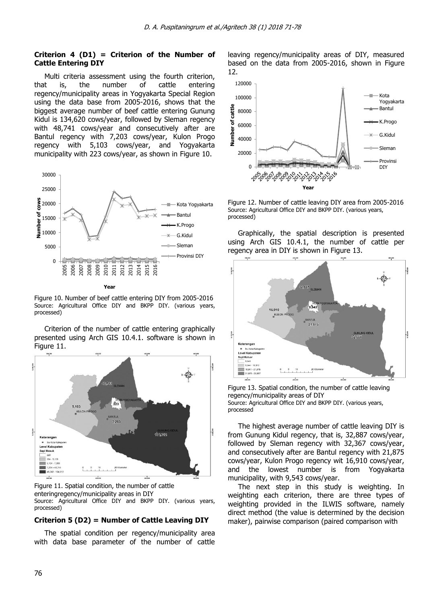### **Criterion 4 (D1) = Criterion of the Number of Cattle Entering DIY**

Multi criteria assessment using the fourth criterion, that is, the number of cattle entering regency/municipality areas in Yogyakarta Special Region using the data base from 2005-2016, shows that the biggest average number of beef cattle entering Gunung Kidul is 134,620 cows/year, followed by Sleman regency with 48,741 cows/year and consecutively after are Bantul regency with 7,203 cows/year, Kulon Progo regency with 5,103 cows/year, and Yogyakarta municipality with 223 cows/year, as shown in Figure 10.



Figure 10. Number of beef cattle entering DIY from 2005-2016 Source: Agricultural Office DIY and BKPP DIY. (various years, processed)

Criterion of the number of cattle entering graphically presented using Arch GIS 10.4.1. software is shown in Figure 11.





### **Criterion 5 (D2) = Number of Cattle Leaving DIY**

The spatial condition per regency/municipality area with data base parameter of the number of cattle leaving regency/municipality areas of DIY, measured based on the data from 2005-2016, shown in Figure 12.



Figure 12. Number of cattle leaving DIY area from 2005-2016 Source: Agricultural Office DIY and BKPP DIY. (various years, processed)

Graphically, the spatial description is presented using Arch GIS 10.4.1, the number of cattle per regency area in DIY is shown in Figure 13.



Figure 13. Spatial condition, the number of cattle leaving regency/municipality areas of DIY Source: Agricultural Office DIY and BKPP DIY. (various years, processed

The highest average number of cattle leaving DIY is from Gunung Kidul regency, that is, 32,887 cows/year, followed by Sleman regency with 32,367 cows/year, and consecutively after are Bantul regency with 21,875 cows/year, Kulon Progo regency wit 16,910 cows/year, and the lowest number is from Yogyakarta municipality, with 9,543 cows/year.

The next step in this study is weighting. In weighting each criterion, there are three types of weighting provided in the ILWIS software, namely direct method (the value is determined by the decision maker), pairwise comparison (paired comparison with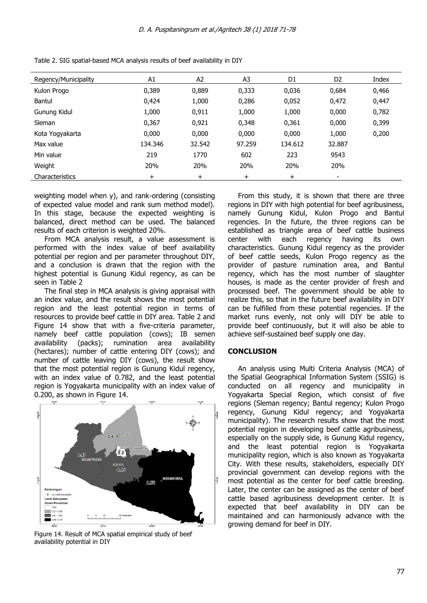| Regency/Municipality | A1      | A <sub>2</sub> | A <sub>3</sub> | D1           | D <sub>2</sub>           | Index |
|----------------------|---------|----------------|----------------|--------------|--------------------------|-------|
| Kulon Progo          | 0,389   | 0,889          | 0,333          | 0,036        | 0,684                    | 0,466 |
| Bantul               | 0,424   | 1,000          | 0,286          | 0,052        | 0,472                    | 0,447 |
| Gunung Kidul         | 1,000   | 0,911          | 1,000          | 1,000        | 0,000                    | 0,782 |
| Sleman               | 0,367   | 0,921          | 0,348          | 0,361        | 0,000                    | 0,399 |
| Kota Yogyakarta      | 0,000   | 0,000          | 0,000          | 0,000        | 1,000                    | 0,200 |
| Max value            | 134.346 | 32.542         | 97.259         | 134.612      | 32,887                   |       |
| Min value            | 219     | 1770           | 602            | 223          | 9543                     |       |
| Weight               | 20%     | 20%            | 20%            | 20%          | 20%                      |       |
| Characteristics      | $^{+}$  | $\pm$          | $\pm$          | $\mathrm{+}$ | $\overline{\phantom{a}}$ |       |

Table 2. SIG spatial-based MCA analysis results of beef availability in DIY

weighting model when y), and rank-ordering (consisting of expected value model and rank sum method model). In this stage, because the expected weighting is balanced, direct method can be used. The balanced results of each criterion is weighted 20%.

From MCA analysis result, a value assessment is performed with the index value of beef availability potential per region and per parameter throughout DIY, and a conclusion is drawn that the region with the highest potential is Gunung Kidul regency, as can be seen in Table 2

The final step in MCA analysis is giving appraisal with an index value, and the result shows the most potential region and the least potential region in terms of resources to provide beef cattle in DIY area. Table 2 and Figure 14 show that with a five-criteria parameter, namely beef cattle population (cows); IB semen availability (packs); rumination area availability (hectares); number of cattle entering DIY (cows); and number of cattle leaving DIY (cows), the result show that the most potential region is Gunung Kidul regency, with an index value of 0.782, and the least potential region is Yogyakarta municipality with an index value of 0.200, as shown in Figure 14.



Figure 14. Result of MCA spatial empirical study of beef availability potential in DIY

From this study, it is shown that there are three regions in DIY with high potential for beef agribusiness, namely Gunung Kidul, Kulon Progo and Bantul regencies. In the future, the three regions can be established as triangle area of beef cattle business center with each regency having its own characteristics. Gunung Kidul regency as the provider of beef cattle seeds, Kulon Progo regency as the provider of pasture rumination area, and Bantul regency, which has the most number of slaughter houses, is made as the center provider of fresh and processed beef. The government should be able to realize this, so that in the future beef availability in DIY can be fulfilled from these potential regencies. If the market runs evenly, not only will DIY be able to provide beef continuously, but it will also be able to achieve self-sustained beef supply one day.

### **CONCLUSION**

An analysis using Multi Criteria Analysis (MCA) of the Spatial Geographical Information System (SSIG) is conducted on all regency and municipality in Yogyakarta Special Region, which consist of five regions (Sleman regency; Bantul regency; Kulon Progo regency, Gunung Kidul regency; and Yogyakarta municipality). The research results show that the most potential region in developing beef cattle agribusiness, especially on the supply side, is Gunung Kidul regency, and the least potential region is Yogyakarta municipality region, which is also known as Yogyakarta City. With these results, stakeholders, especially DIY provincial government can develop regions with the most potential as the center for beef cattle breeding. Later, the center can be assigned as the center of beef cattle based agribusiness development center. It is expected that beef availability in DIY can be maintained and can harmoniously advance with the growing demand for beef in DIY.